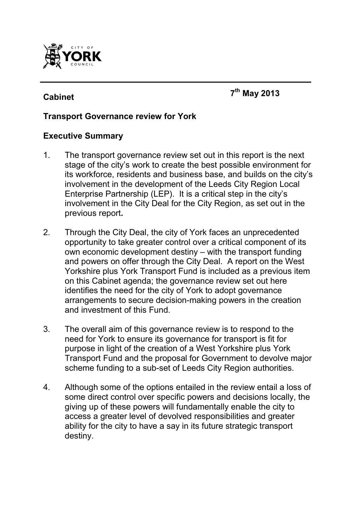

# **Cabinet <sup>7</sup>**

**th May 2013** 

### **Transport Governance review for York**

#### **Executive Summary**

- 1. The transport governance review set out in this report is the next stage of the city's work to create the best possible environment for its workforce, residents and business base, and builds on the city's involvement in the development of the Leeds City Region Local Enterprise Partnership (LEP). It is a critical step in the city's involvement in the City Deal for the City Region, as set out in the previous report**.**
- 2. Through the City Deal, the city of York faces an unprecedented opportunity to take greater control over a critical component of its own economic development destiny – with the transport funding and powers on offer through the City Deal. A report on the West Yorkshire plus York Transport Fund is included as a previous item on this Cabinet agenda; the governance review set out here identifies the need for the city of York to adopt governance arrangements to secure decision-making powers in the creation and investment of this Fund.
- 3. The overall aim of this governance review is to respond to the need for York to ensure its governance for transport is fit for purpose in light of the creation of a West Yorkshire plus York Transport Fund and the proposal for Government to devolve major scheme funding to a sub-set of Leeds City Region authorities.
- 4. Although some of the options entailed in the review entail a loss of some direct control over specific powers and decisions locally, the giving up of these powers will fundamentally enable the city to access a greater level of devolved responsibilities and greater ability for the city to have a say in its future strategic transport destiny.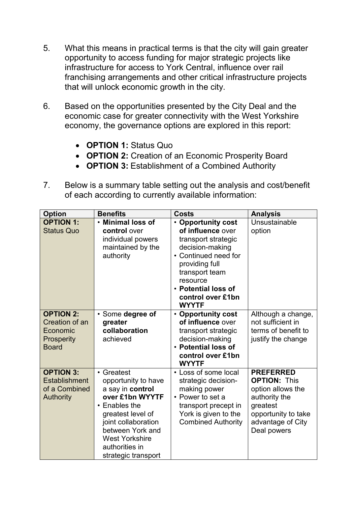- 5. What this means in practical terms is that the city will gain greater opportunity to access funding for major strategic projects like infrastructure for access to York Central, influence over rail franchising arrangements and other critical infrastructure projects that will unlock economic growth in the city.
- 6. Based on the opportunities presented by the City Deal and the economic case for greater connectivity with the West Yorkshire economy, the governance options are explored in this report:
	- **OPTION 1:** Status Quo
	- **OPTION 2:** Creation of an Economic Prosperity Board
	- **OPTION 3:** Establishment of a Combined Authority
- 7. Below is a summary table setting out the analysis and cost/benefit of each according to currently available information:

| <b>Option</b>                                                                 | <b>Benefits</b>                                                                                                                                                                                                                   | <b>Costs</b>                                                                                                                                                                                                          | <b>Analysis</b>                                                                                                                                      |
|-------------------------------------------------------------------------------|-----------------------------------------------------------------------------------------------------------------------------------------------------------------------------------------------------------------------------------|-----------------------------------------------------------------------------------------------------------------------------------------------------------------------------------------------------------------------|------------------------------------------------------------------------------------------------------------------------------------------------------|
| <b>OPTION 1:</b><br><b>Status Quo</b>                                         | <b>Minimal loss of</b><br>control over<br>individual powers<br>maintained by the<br>authority                                                                                                                                     | • Opportunity cost<br>of influence over<br>transport strategic<br>decision-making<br>• Continued need for<br>providing full<br>transport team<br>resource<br>• Potential loss of<br>control over £1bn<br><b>WYYTF</b> | Unsustainable<br>option                                                                                                                              |
| <b>OPTION 2:</b><br>Creation of an<br>Economic<br>Prosperity<br><b>Board</b>  | · Some degree of<br>greater<br>collaboration<br>achieved                                                                                                                                                                          | • Opportunity cost<br>of influence over<br>transport strategic<br>decision-making<br>• Potential loss of<br>control over £1bn<br><b>WYYTF</b>                                                                         | Although a change,<br>not sufficient in<br>terms of benefit to<br>justify the change                                                                 |
| <b>OPTION 3:</b><br><b>Establishment</b><br>of a Combined<br><b>Authority</b> | • Greatest<br>opportunity to have<br>a say in control<br>over £1bn WYYTF<br>$\cdot$ Enables the<br>greatest level of<br>joint collaboration<br>between York and<br><b>West Yorkshire</b><br>authorities in<br>strategic transport | • Loss of some local<br>strategic decision-<br>making power<br>• Power to set a<br>transport precept in<br>York is given to the<br><b>Combined Authority</b>                                                          | <b>PREFERRED</b><br><b>OPTION: This</b><br>option allows the<br>authority the<br>greatest<br>opportunity to take<br>advantage of City<br>Deal powers |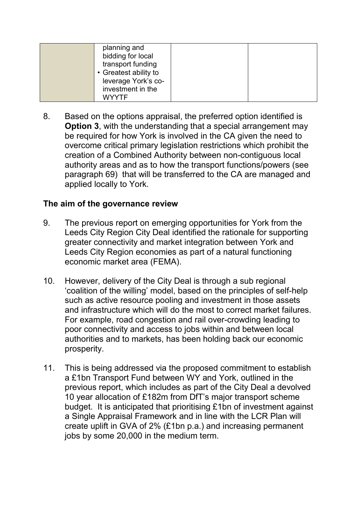| planning and<br>bidding for local<br>transport funding |  |
|--------------------------------------------------------|--|
| • Greatest ability to                                  |  |
| leverage York's co-                                    |  |
| investment in the                                      |  |
| <b>WYYTF</b>                                           |  |

8. Based on the options appraisal, the preferred option identified is **Option 3**, with the understanding that a special arrangement may be required for how York is involved in the CA given the need to overcome critical primary legislation restrictions which prohibit the creation of a Combined Authority between non-contiguous local authority areas and as to how the transport functions/powers (see paragraph 69) that will be transferred to the CA are managed and applied locally to York.

### **The aim of the governance review**

- 9. The previous report on emerging opportunities for York from the Leeds City Region City Deal identified the rationale for supporting greater connectivity and market integration between York and Leeds City Region economies as part of a natural functioning economic market area (FEMA).
- 10. However, delivery of the City Deal is through a sub regional 'coalition of the willing' model, based on the principles of self-help such as active resource pooling and investment in those assets and infrastructure which will do the most to correct market failures. For example, road congestion and rail over-crowding leading to poor connectivity and access to jobs within and between local authorities and to markets, has been holding back our economic prosperity.
- 11. This is being addressed via the proposed commitment to establish a £1bn Transport Fund between WY and York, outlined in the previous report, which includes as part of the City Deal a devolved 10 year allocation of £182m from DfT's major transport scheme budget. It is anticipated that prioritising £1bn of investment against a Single Appraisal Framework and in line with the LCR Plan will create uplift in GVA of 2% (£1bn p.a.) and increasing permanent jobs by some 20,000 in the medium term.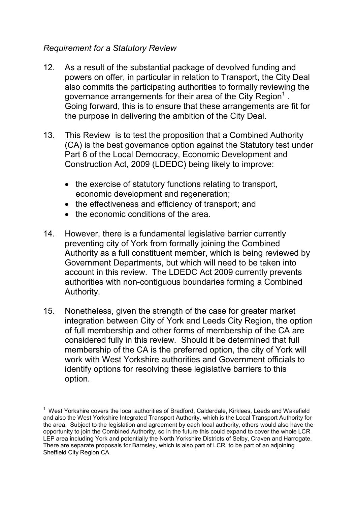### *Requirement for a Statutory Review*

- 12. As a result of the substantial package of devolved funding and powers on offer, in particular in relation to Transport, the City Deal also commits the participating authorities to formally reviewing the governance arrangements for their area of the City Region<sup>1</sup>. Going forward, this is to ensure that these arrangements are fit for the purpose in delivering the ambition of the City Deal.
- 13. This Review is to test the proposition that a Combined Authority (CA) is the best governance option against the Statutory test under Part 6 of the Local Democracy, Economic Development and Construction Act, 2009 (LDEDC) being likely to improve:
	- the exercise of statutory functions relating to transport, economic development and regeneration;
	- the effectiveness and efficiency of transport; and
	- the economic conditions of the area.
- 14. However, there is a fundamental legislative barrier currently preventing city of York from formally joining the Combined Authority as a full constituent member, which is being reviewed by Government Departments, but which will need to be taken into account in this review. The LDEDC Act 2009 currently prevents authorities with non-contiguous boundaries forming a Combined Authority.
- 15. Nonetheless, given the strength of the case for greater market integration between City of York and Leeds City Region, the option of full membership and other forms of membership of the CA are considered fully in this review. Should it be determined that full membership of the CA is the preferred option, the city of York will work with West Yorkshire authorities and Government officials to identify options for resolving these legislative barriers to this option.

 $\overline{\phantom{a}}$ <sup>1</sup> West Yorkshire covers the local authorities of Bradford, Calderdale, Kirklees, Leeds and Wakefield and also the West Yorkshire Integrated Transport Authority, which is the Local Transport Authority for the area. Subject to the legislation and agreement by each local authority, others would also have the opportunity to join the Combined Authority, so in the future this could expand to cover the whole LCR LEP area including York and potentially the North Yorkshire Districts of Selby, Craven and Harrogate. There are separate proposals for Barnsley, which is also part of LCR, to be part of an adjoining Sheffield City Region CA.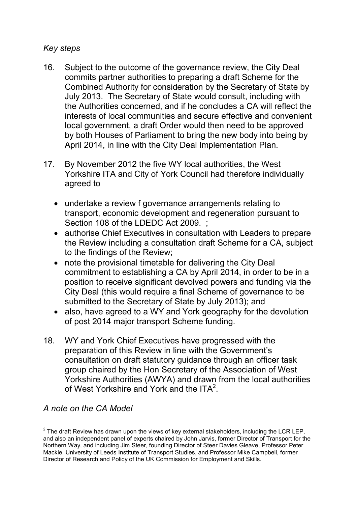### *Key steps*

- 16. Subject to the outcome of the governance review, the City Deal commits partner authorities to preparing a draft Scheme for the Combined Authority for consideration by the Secretary of State by July 2013. The Secretary of State would consult, including with the Authorities concerned, and if he concludes a CA will reflect the interests of local communities and secure effective and convenient local government, a draft Order would then need to be approved by both Houses of Parliament to bring the new body into being by April 2014, in line with the City Deal Implementation Plan.
- 17. By November 2012 the five WY local authorities, the West Yorkshire ITA and City of York Council had therefore individually agreed to
	- undertake a review f governance arrangements relating to transport, economic development and regeneration pursuant to Section 108 of the LDEDC Act 2009. ;
	- authorise Chief Executives in consultation with Leaders to prepare the Review including a consultation draft Scheme for a CA, subject to the findings of the Review;
	- note the provisional timetable for delivering the City Deal commitment to establishing a CA by April 2014, in order to be in a position to receive significant devolved powers and funding via the City Deal (this would require a final Scheme of governance to be submitted to the Secretary of State by July 2013); and
	- also, have agreed to a WY and York geography for the devolution of post 2014 major transport Scheme funding.
- 18. WY and York Chief Executives have progressed with the preparation of this Review in line with the Government's consultation on draft statutory guidance through an officer task group chaired by the Hon Secretary of the Association of West Yorkshire Authorities (AWYA) and drawn from the local authorities of West Yorkshire and York and the ITA<sup>2</sup>.

# *A note on the CA Model*

 2 The draft Review has drawn upon the views of key external stakeholders, including the LCR LEP, and also an independent panel of experts chaired by John Jarvis, former Director of Transport for the Northern Way, and including Jim Steer, founding Director of Steer Davies Gleave, Professor Peter Mackie, University of Leeds Institute of Transport Studies, and Professor Mike Campbell, former Director of Research and Policy of the UK Commission for Employment and Skills.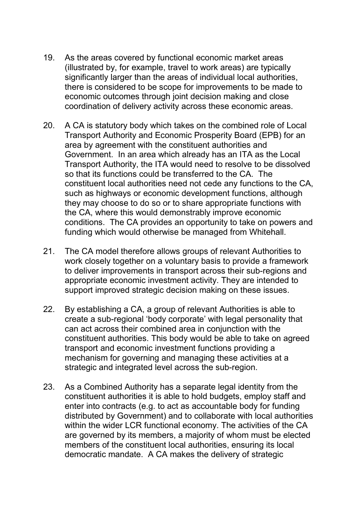- 19. As the areas covered by functional economic market areas (illustrated by, for example, travel to work areas) are typically significantly larger than the areas of individual local authorities, there is considered to be scope for improvements to be made to economic outcomes through joint decision making and close coordination of delivery activity across these economic areas.
- 20. A CA is statutory body which takes on the combined role of Local Transport Authority and Economic Prosperity Board (EPB) for an area by agreement with the constituent authorities and Government. In an area which already has an ITA as the Local Transport Authority, the ITA would need to resolve to be dissolved so that its functions could be transferred to the CA. The constituent local authorities need not cede any functions to the CA, such as highways or economic development functions, although they may choose to do so or to share appropriate functions with the CA, where this would demonstrably improve economic conditions. The CA provides an opportunity to take on powers and funding which would otherwise be managed from Whitehall.
- 21. The CA model therefore allows groups of relevant Authorities to work closely together on a voluntary basis to provide a framework to deliver improvements in transport across their sub-regions and appropriate economic investment activity. They are intended to support improved strategic decision making on these issues.
- 22. By establishing a CA, a group of relevant Authorities is able to create a sub-regional 'body corporate' with legal personality that can act across their combined area in conjunction with the constituent authorities. This body would be able to take on agreed transport and economic investment functions providing a mechanism for governing and managing these activities at a strategic and integrated level across the sub-region.
- 23. As a Combined Authority has a separate legal identity from the constituent authorities it is able to hold budgets, employ staff and enter into contracts (e.g. to act as accountable body for funding distributed by Government) and to collaborate with local authorities within the wider LCR functional economy. The activities of the CA are governed by its members, a majority of whom must be elected members of the constituent local authorities, ensuring its local democratic mandate. A CA makes the delivery of strategic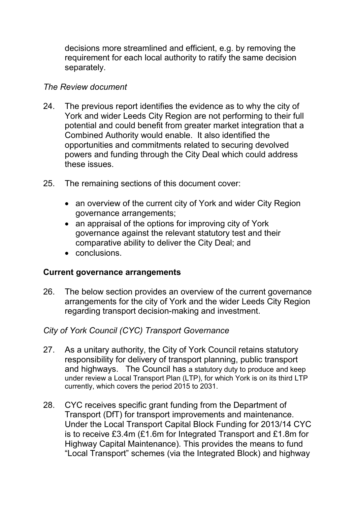decisions more streamlined and efficient, e.g. by removing the requirement for each local authority to ratify the same decision separately.

### *The Review document*

- 24. The previous report identifies the evidence as to why the city of York and wider Leeds City Region are not performing to their full potential and could benefit from greater market integration that a Combined Authority would enable. It also identified the opportunities and commitments related to securing devolved powers and funding through the City Deal which could address these issues.
- 25. The remaining sections of this document cover:
	- an overview of the current city of York and wider City Region governance arrangements;
	- an appraisal of the options for improving city of York governance against the relevant statutory test and their comparative ability to deliver the City Deal; and
	- conclusions.

# **Current governance arrangements**

26. The below section provides an overview of the current governance arrangements for the city of York and the wider Leeds City Region regarding transport decision-making and investment.

# *City of York Council (CYC) Transport Governance*

- 27. As a unitary authority, the City of York Council retains statutory responsibility for delivery of transport planning, public transport and highways. The Council has a statutory duty to produce and keep under review a Local Transport Plan (LTP), for which York is on its third LTP currently, which covers the period 2015 to 2031.
- 28. CYC receives specific grant funding from the Department of Transport (DfT) for transport improvements and maintenance. Under the Local Transport Capital Block Funding for 2013/14 CYC is to receive £3.4m (£1.6m for Integrated Transport and £1.8m for Highway Capital Maintenance). This provides the means to fund "Local Transport" schemes (via the Integrated Block) and highway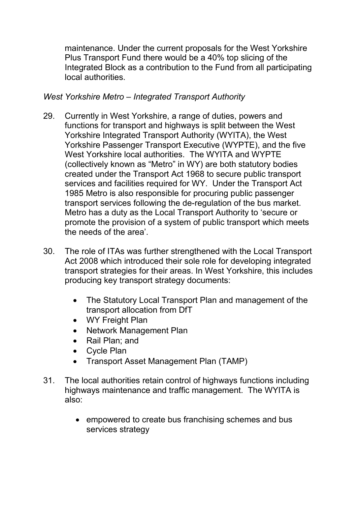maintenance. Under the current proposals for the West Yorkshire Plus Transport Fund there would be a 40% top slicing of the Integrated Block as a contribution to the Fund from all participating local authorities.

### *West Yorkshire Metro – Integrated Transport Authority*

- 29. Currently in West Yorkshire, a range of duties, powers and functions for transport and highways is split between the West Yorkshire Integrated Transport Authority (WYITA), the West Yorkshire Passenger Transport Executive (WYPTE), and the five West Yorkshire local authorities. The WYITA and WYPTE (collectively known as "Metro" in WY) are both statutory bodies created under the Transport Act 1968 to secure public transport services and facilities required for WY. Under the Transport Act 1985 Metro is also responsible for procuring public passenger transport services following the de-regulation of the bus market. Metro has a duty as the Local Transport Authority to 'secure or promote the provision of a system of public transport which meets the needs of the area'.
- 30. The role of ITAs was further strengthened with the Local Transport Act 2008 which introduced their sole role for developing integrated transport strategies for their areas. In West Yorkshire, this includes producing key transport strategy documents:
	- The Statutory Local Transport Plan and management of the transport allocation from DfT
	- WY Freight Plan
	- Network Management Plan
	- Rail Plan; and
	- Cycle Plan
	- Transport Asset Management Plan (TAMP)
- 31. The local authorities retain control of highways functions including highways maintenance and traffic management. The WYITA is also:
	- empowered to create bus franchising schemes and bus services strategy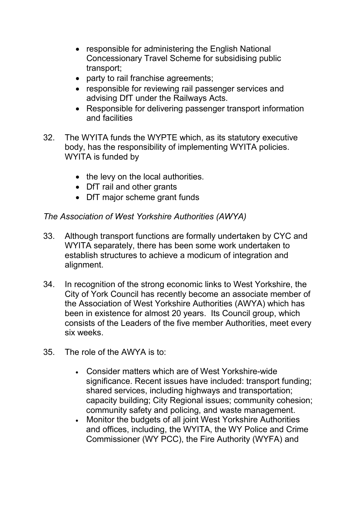- responsible for administering the English National Concessionary Travel Scheme for subsidising public transport;
- party to rail franchise agreements;
- responsible for reviewing rail passenger services and advising DfT under the Railways Acts.
- Responsible for delivering passenger transport information and facilities
- 32. The WYITA funds the WYPTE which, as its statutory executive body, has the responsibility of implementing WYITA policies. WYITA is funded by
	- the levy on the local authorities.
	- DfT rail and other grants
	- DfT major scheme grant funds

### *The Association of West Yorkshire Authorities (AWYA)*

- 33. Although transport functions are formally undertaken by CYC and WYITA separately, there has been some work undertaken to establish structures to achieve a modicum of integration and alignment.
- 34. In recognition of the strong economic links to West Yorkshire, the City of York Council has recently become an associate member of the Association of West Yorkshire Authorities (AWYA) which has been in existence for almost 20 years. Its Council group, which consists of the Leaders of the five member Authorities, meet every six weeks.
- 35. The role of the AWYA is to:
	- Consider matters which are of West Yorkshire-wide significance. Recent issues have included: transport funding; shared services, including highways and transportation; capacity building; City Regional issues; community cohesion; community safety and policing, and waste management.
	- Monitor the budgets of all joint West Yorkshire Authorities and offices, including, the WYITA, the WY Police and Crime Commissioner (WY PCC), the Fire Authority (WYFA) and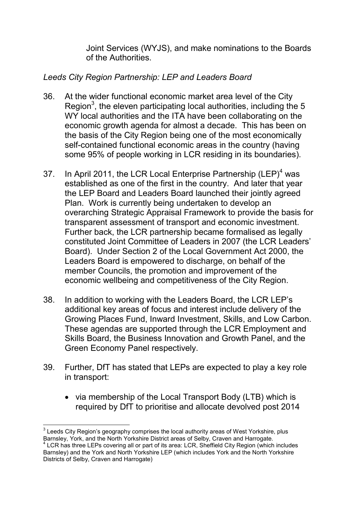Joint Services (WYJS), and make nominations to the Boards of the Authorities.

### *Leeds City Region Partnership: LEP and Leaders Board*

- 36. At the wider functional economic market area level of the City Region<sup>3</sup>, the eleven participating local authorities, including the 5 WY local authorities and the ITA have been collaborating on the economic growth agenda for almost a decade. This has been on the basis of the City Region being one of the most economically self-contained functional economic areas in the country (having some 95% of people working in LCR residing in its boundaries).
- 37. In April 2011, the LCR Local Enterprise Partnership (LEP)<sup>4</sup> was established as one of the first in the country. And later that year the LEP Board and Leaders Board launched their jointly agreed Plan. Work is currently being undertaken to develop an overarching Strategic Appraisal Framework to provide the basis for transparent assessment of transport and economic investment. Further back, the LCR partnership became formalised as legally constituted Joint Committee of Leaders in 2007 (the LCR Leaders' Board). Under Section 2 of the Local Government Act 2000, the Leaders Board is empowered to discharge, on behalf of the member Councils, the promotion and improvement of the economic wellbeing and competitiveness of the City Region.
- 38. In addition to working with the Leaders Board, the LCR LEP's additional key areas of focus and interest include delivery of the Growing Places Fund, Inward Investment, Skills, and Low Carbon. These agendas are supported through the LCR Employment and Skills Board, the Business Innovation and Growth Panel, and the Green Economy Panel respectively.
- 39. Further, DfT has stated that LEPs are expected to play a key role in transport:
	- via membership of the Local Transport Body (LTB) which is required by DfT to prioritise and allocate devolved post 2014

 $\overline{a}$  $3$  Leeds City Region's geography comprises the local authority areas of West Yorkshire, plus Barnsley, York, and the North Yorkshire District areas of Selby, Craven and Harrogate.

<sup>&</sup>lt;sup>4</sup> LCR has three LEPs covering all or part of its area: LCR, Sheffield City Region (which includes Barnsley) and the York and North Yorkshire LEP (which includes York and the North Yorkshire Districts of Selby, Craven and Harrogate)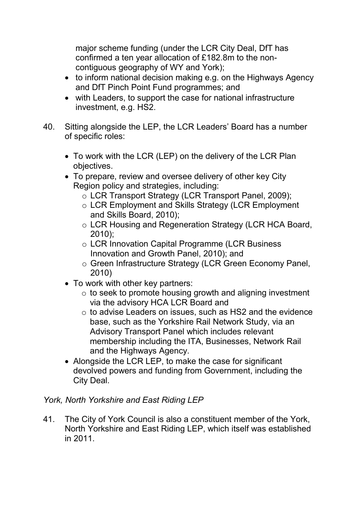major scheme funding (under the LCR City Deal, DfT has confirmed a ten year allocation of £182.8m to the noncontiguous geography of WY and York);

- to inform national decision making e.g. on the Highways Agency and DfT Pinch Point Fund programmes; and
- with Leaders, to support the case for national infrastructure investment, e.g. HS2.
- 40. Sitting alongside the LEP, the LCR Leaders' Board has a number of specific roles:
	- To work with the LCR (LEP) on the delivery of the LCR Plan objectives.
	- To prepare, review and oversee delivery of other key City Region policy and strategies, including:
		- o LCR Transport Strategy (LCR Transport Panel, 2009);
		- o LCR Employment and Skills Strategy (LCR Employment and Skills Board, 2010);
		- o LCR Housing and Regeneration Strategy (LCR HCA Board, 2010);
		- o LCR Innovation Capital Programme (LCR Business Innovation and Growth Panel, 2010); and
		- o Green Infrastructure Strategy (LCR Green Economy Panel, 2010)
	- To work with other key partners:
		- o to seek to promote housing growth and aligning investment via the advisory HCA LCR Board and
		- o to advise Leaders on issues, such as HS2 and the evidence base, such as the Yorkshire Rail Network Study, via an Advisory Transport Panel which includes relevant membership including the ITA, Businesses, Network Rail and the Highways Agency.
	- Alongside the LCR LEP, to make the case for significant devolved powers and funding from Government, including the City Deal.

# *York, North Yorkshire and East Riding LEP*

41. The City of York Council is also a constituent member of the York, North Yorkshire and East Riding LEP, which itself was established in 2011.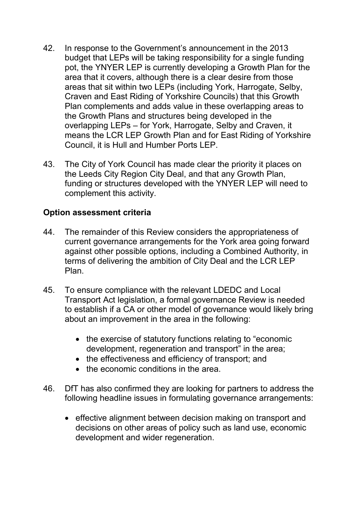- 42. In response to the Government's announcement in the 2013 budget that LEPs will be taking responsibility for a single funding pot, the YNYER LEP is currently developing a Growth Plan for the area that it covers, although there is a clear desire from those areas that sit within two LEPs (including York, Harrogate, Selby, Craven and East Riding of Yorkshire Councils) that this Growth Plan complements and adds value in these overlapping areas to the Growth Plans and structures being developed in the overlapping LEPs – for York, Harrogate, Selby and Craven, it means the LCR LEP Growth Plan and for East Riding of Yorkshire Council, it is Hull and Humber Ports LEP.
- 43. The City of York Council has made clear the priority it places on the Leeds City Region City Deal, and that any Growth Plan, funding or structures developed with the YNYER LEP will need to complement this activity.

### **Option assessment criteria**

- 44. The remainder of this Review considers the appropriateness of current governance arrangements for the York area going forward against other possible options, including a Combined Authority, in terms of delivering the ambition of City Deal and the LCR LEP Plan.
- 45. To ensure compliance with the relevant LDEDC and Local Transport Act legislation, a formal governance Review is needed to establish if a CA or other model of governance would likely bring about an improvement in the area in the following:
	- the exercise of statutory functions relating to "economic development, regeneration and transport" in the area;
	- the effectiveness and efficiency of transport; and
	- the economic conditions in the area.
- 46. DfT has also confirmed they are looking for partners to address the following headline issues in formulating governance arrangements:
	- effective alignment between decision making on transport and decisions on other areas of policy such as land use, economic development and wider regeneration.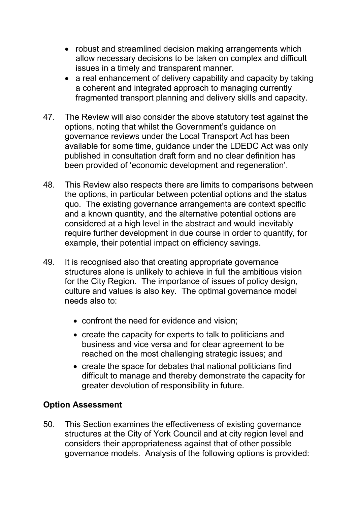- robust and streamlined decision making arrangements which allow necessary decisions to be taken on complex and difficult issues in a timely and transparent manner.
- a real enhancement of delivery capability and capacity by taking a coherent and integrated approach to managing currently fragmented transport planning and delivery skills and capacity.
- 47. The Review will also consider the above statutory test against the options, noting that whilst the Government's guidance on governance reviews under the Local Transport Act has been available for some time, guidance under the LDEDC Act was only published in consultation draft form and no clear definition has been provided of 'economic development and regeneration'.
- 48. This Review also respects there are limits to comparisons between the options, in particular between potential options and the status quo. The existing governance arrangements are context specific and a known quantity, and the alternative potential options are considered at a high level in the abstract and would inevitably require further development in due course in order to quantify, for example, their potential impact on efficiency savings.
- 49. It is recognised also that creating appropriate governance structures alone is unlikely to achieve in full the ambitious vision for the City Region. The importance of issues of policy design, culture and values is also key. The optimal governance model needs also to:
	- confront the need for evidence and vision;
	- create the capacity for experts to talk to politicians and business and vice versa and for clear agreement to be reached on the most challenging strategic issues; and
	- create the space for debates that national politicians find difficult to manage and thereby demonstrate the capacity for greater devolution of responsibility in future.

# **Option Assessment**

50. This Section examines the effectiveness of existing governance structures at the City of York Council and at city region level and considers their appropriateness against that of other possible governance models. Analysis of the following options is provided: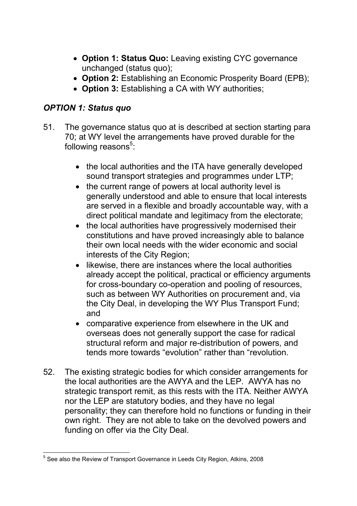- **Option 1: Status Quo:** Leaving existing CYC governance unchanged (status quo);
- **Option 2:** Establishing an Economic Prosperity Board (EPB);
- **Option 3:** Establishing a CA with WY authorities;

# *OPTION 1: Status quo*

- 51. The governance status quo at is described at section starting para 70; at WY level the arrangements have proved durable for the following reasons<sup>5</sup>:
	- the local authorities and the ITA have generally developed sound transport strategies and programmes under LTP;
	- the current range of powers at local authority level is generally understood and able to ensure that local interests are served in a flexible and broadly accountable way, with a direct political mandate and legitimacy from the electorate;
	- the local authorities have progressively modernised their constitutions and have proved increasingly able to balance their own local needs with the wider economic and social interests of the City Region;
	- likewise, there are instances where the local authorities already accept the political, practical or efficiency arguments for cross-boundary co-operation and pooling of resources, such as between WY Authorities on procurement and, via the City Deal, in developing the WY Plus Transport Fund; and
	- comparative experience from elsewhere in the UK and overseas does not generally support the case for radical structural reform and major re-distribution of powers, and tends more towards "evolution" rather than "revolution.
- 52. The existing strategic bodies for which consider arrangements for the local authorities are the AWYA and the LEP. AWYA has no strategic transport remit, as this rests with the ITA. Neither AWYA nor the LEP are statutory bodies, and they have no legal personality; they can therefore hold no functions or funding in their own right. They are not able to take on the devolved powers and funding on offer via the City Deal.

 5 See also the Review of Transport Governance in Leeds City Region, Atkins, 2008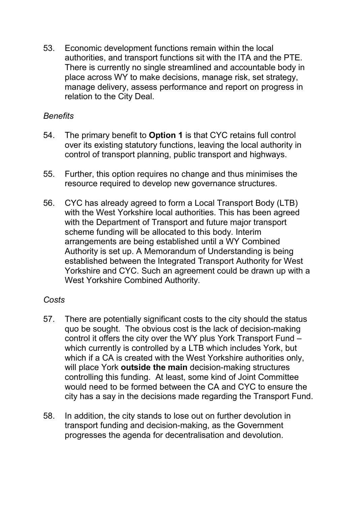53. Economic development functions remain within the local authorities, and transport functions sit with the ITA and the PTE. There is currently no single streamlined and accountable body in place across WY to make decisions, manage risk, set strategy, manage delivery, assess performance and report on progress in relation to the City Deal.

### *Benefits*

- 54. The primary benefit to **Option 1** is that CYC retains full control over its existing statutory functions, leaving the local authority in control of transport planning, public transport and highways.
- 55. Further, this option requires no change and thus minimises the resource required to develop new governance structures.
- 56. CYC has already agreed to form a Local Transport Body (LTB) with the West Yorkshire local authorities. This has been agreed with the Department of Transport and future major transport scheme funding will be allocated to this body. Interim arrangements are being established until a WY Combined Authority is set up. A Memorandum of Understanding is being established between the Integrated Transport Authority for West Yorkshire and CYC. Such an agreement could be drawn up with a West Yorkshire Combined Authority.

### *Costs*

- 57. There are potentially significant costs to the city should the status quo be sought. The obvious cost is the lack of decision-making control it offers the city over the WY plus York Transport Fund – which currently is controlled by a LTB which includes York, but which if a CA is created with the West Yorkshire authorities only, will place York **outside the main** decision-making structures controlling this funding. At least, some kind of Joint Committee would need to be formed between the CA and CYC to ensure the city has a say in the decisions made regarding the Transport Fund.
- 58. In addition, the city stands to lose out on further devolution in transport funding and decision-making, as the Government progresses the agenda for decentralisation and devolution.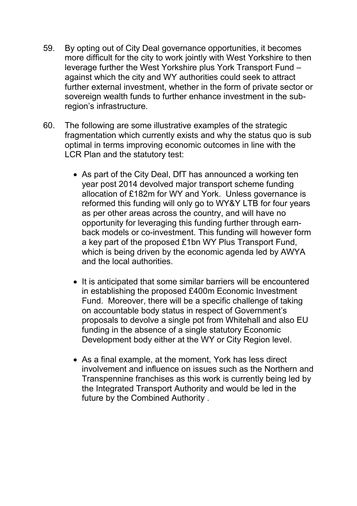- 59. By opting out of City Deal governance opportunities, it becomes more difficult for the city to work jointly with West Yorkshire to then leverage further the West Yorkshire plus York Transport Fund – against which the city and WY authorities could seek to attract further external investment, whether in the form of private sector or sovereign wealth funds to further enhance investment in the subregion's infrastructure.
- 60. The following are some illustrative examples of the strategic fragmentation which currently exists and why the status quo is sub optimal in terms improving economic outcomes in line with the LCR Plan and the statutory test:
	- As part of the City Deal, DfT has announced a working ten year post 2014 devolved major transport scheme funding allocation of £182m for WY and York. Unless governance is reformed this funding will only go to WY&Y LTB for four years as per other areas across the country, and will have no opportunity for leveraging this funding further through earnback models or co-investment. This funding will however form a key part of the proposed £1bn WY Plus Transport Fund, which is being driven by the economic agenda led by AWYA and the local authorities.
	- It is anticipated that some similar barriers will be encountered in establishing the proposed £400m Economic Investment Fund. Moreover, there will be a specific challenge of taking on accountable body status in respect of Government's proposals to devolve a single pot from Whitehall and also EU funding in the absence of a single statutory Economic Development body either at the WY or City Region level.
	- As a final example, at the moment, York has less direct involvement and influence on issues such as the Northern and Transpennine franchises as this work is currently being led by the Integrated Transport Authority and would be led in the future by the Combined Authority .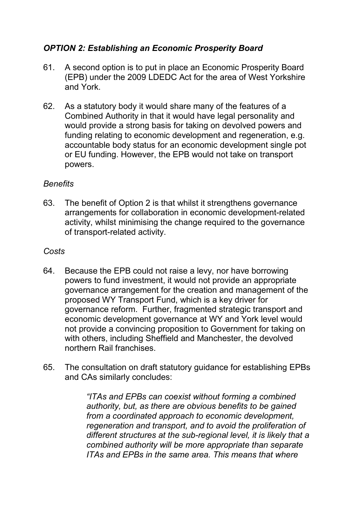# *OPTION 2: Establishing an Economic Prosperity Board*

- 61. A second option is to put in place an Economic Prosperity Board (EPB) under the 2009 LDEDC Act for the area of West Yorkshire and York.
- 62. As a statutory body it would share many of the features of a Combined Authority in that it would have legal personality and would provide a strong basis for taking on devolved powers and funding relating to economic development and regeneration, e.g. accountable body status for an economic development single pot or EU funding. However, the EPB would not take on transport powers.

### *Benefits*

63. The benefit of Option 2 is that whilst it strengthens governance arrangements for collaboration in economic development-related activity, whilst minimising the change required to the governance of transport-related activity.

### *Costs*

- 64. Because the EPB could not raise a levy, nor have borrowing powers to fund investment, it would not provide an appropriate governance arrangement for the creation and management of the proposed WY Transport Fund, which is a key driver for governance reform. Further, fragmented strategic transport and economic development governance at WY and York level would not provide a convincing proposition to Government for taking on with others, including Sheffield and Manchester, the devolved northern Rail franchises.
- 65. The consultation on draft statutory guidance for establishing EPBs and CAs similarly concludes:

*"ITAs and EPBs can coexist without forming a combined authority, but, as there are obvious benefits to be gained from a coordinated approach to economic development, regeneration and transport, and to avoid the proliferation of different structures at the sub-regional level, it is likely that a combined authority will be more appropriate than separate ITAs and EPBs in the same area. This means that where*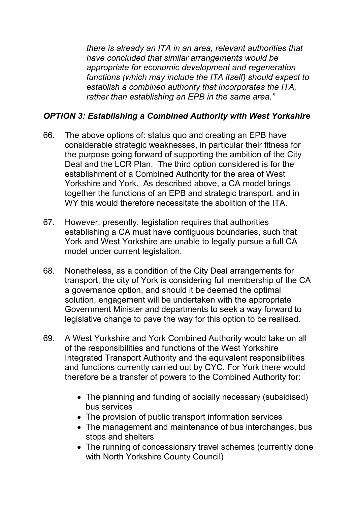*there is already an ITA in an area, relevant authorities that have concluded that similar arrangements would be appropriate for economic development and regeneration functions (which may include the ITA itself) should expect to establish a combined authority that incorporates the ITA, rather than establishing an EPB in the same area."* 

### *OPTION 3: Establishing a Combined Authority with West Yorkshire*

- 66. The above options of: status quo and creating an EPB have considerable strategic weaknesses, in particular their fitness for the purpose going forward of supporting the ambition of the City Deal and the LCR Plan. The third option considered is for the establishment of a Combined Authority for the area of West Yorkshire and York. As described above, a CA model brings together the functions of an EPB and strategic transport, and in WY this would therefore necessitate the abolition of the ITA.
- 67. However, presently, legislation requires that authorities establishing a CA must have contiguous boundaries, such that York and West Yorkshire are unable to legally pursue a full CA model under current legislation.
- 68. Nonetheless, as a condition of the City Deal arrangements for transport, the city of York is considering full membership of the CA a governance option, and should it be deemed the optimal solution, engagement will be undertaken with the appropriate Government Minister and departments to seek a way forward to legislative change to pave the way for this option to be realised.
- 69. A West Yorkshire and York Combined Authority would take on all of the responsibilities and functions of the West Yorkshire Integrated Transport Authority and the equivalent responsibilities and functions currently carried out by CYC. For York there would therefore be a transfer of powers to the Combined Authority for:
	- The planning and funding of socially necessary (subsidised) bus services
	- The provision of public transport information services
	- The management and maintenance of bus interchanges, bus stops and shelters
	- The running of concessionary travel schemes (currently done with North Yorkshire County Council)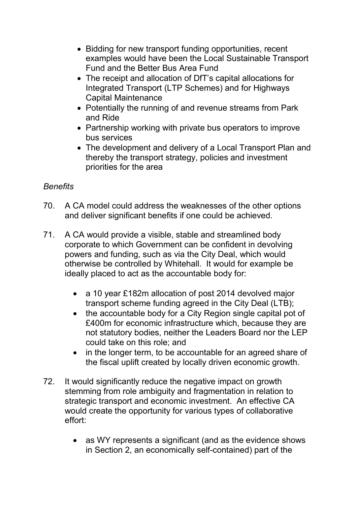- Bidding for new transport funding opportunities, recent examples would have been the Local Sustainable Transport Fund and the Better Bus Area Fund
- The receipt and allocation of DfT's capital allocations for Integrated Transport (LTP Schemes) and for Highways Capital Maintenance
- Potentially the running of and revenue streams from Park and Ride
- Partnership working with private bus operators to improve bus services
- The development and delivery of a Local Transport Plan and thereby the transport strategy, policies and investment priorities for the area

# *Benefits*

- 70. A CA model could address the weaknesses of the other options and deliver significant benefits if one could be achieved.
- 71. A CA would provide a visible, stable and streamlined body corporate to which Government can be confident in devolving powers and funding, such as via the City Deal, which would otherwise be controlled by Whitehall. It would for example be ideally placed to act as the accountable body for:
	- a 10 year £182m allocation of post 2014 devolved major transport scheme funding agreed in the City Deal (LTB);
	- the accountable body for a City Region single capital pot of £400m for economic infrastructure which, because they are not statutory bodies, neither the Leaders Board nor the LEP could take on this role; and
	- in the longer term, to be accountable for an agreed share of the fiscal uplift created by locally driven economic growth.
- 72. It would significantly reduce the negative impact on growth stemming from role ambiguity and fragmentation in relation to strategic transport and economic investment. An effective CA would create the opportunity for various types of collaborative effort:
	- as WY represents a significant (and as the evidence shows in Section 2, an economically self-contained) part of the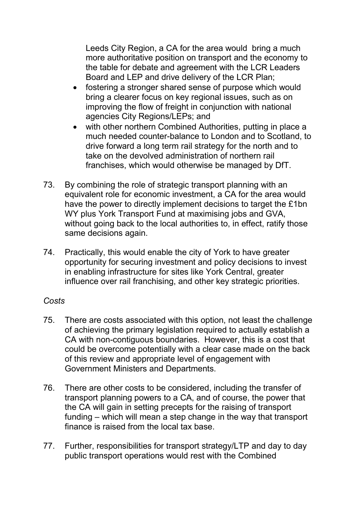Leeds City Region, a CA for the area would bring a much more authoritative position on transport and the economy to the table for debate and agreement with the LCR Leaders Board and LEP and drive delivery of the LCR Plan;

- fostering a stronger shared sense of purpose which would bring a clearer focus on key regional issues, such as on improving the flow of freight in conjunction with national agencies City Regions/LEPs; and
- with other northern Combined Authorities, putting in place a much needed counter-balance to London and to Scotland, to drive forward a long term rail strategy for the north and to take on the devolved administration of northern rail franchises, which would otherwise be managed by DfT.
- 73. By combining the role of strategic transport planning with an equivalent role for economic investment, a CA for the area would have the power to directly implement decisions to target the £1bn WY plus York Transport Fund at maximising jobs and GVA. without going back to the local authorities to, in effect, ratify those same decisions again.
- 74. Practically, this would enable the city of York to have greater opportunity for securing investment and policy decisions to invest in enabling infrastructure for sites like York Central, greater influence over rail franchising, and other key strategic priorities.

### *Costs*

- 75. There are costs associated with this option, not least the challenge of achieving the primary legislation required to actually establish a CA with non-contiguous boundaries. However, this is a cost that could be overcome potentially with a clear case made on the back of this review and appropriate level of engagement with Government Ministers and Departments.
- 76. There are other costs to be considered, including the transfer of transport planning powers to a CA, and of course, the power that the CA will gain in setting precepts for the raising of transport funding – which will mean a step change in the way that transport finance is raised from the local tax base.
- 77. Further, responsibilities for transport strategy/LTP and day to day public transport operations would rest with the Combined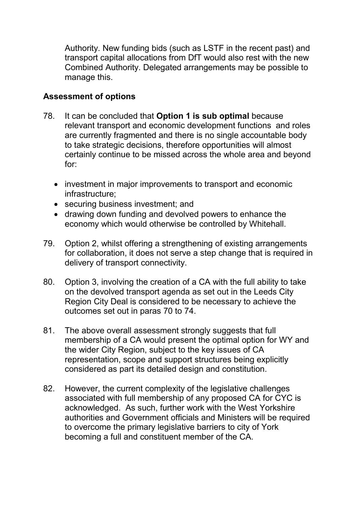Authority. New funding bids (such as LSTF in the recent past) and transport capital allocations from DfT would also rest with the new Combined Authority. Delegated arrangements may be possible to manage this.

### **Assessment of options**

- 78. It can be concluded that **Option 1 is sub optimal** because relevant transport and economic development functions and roles are currently fragmented and there is no single accountable body to take strategic decisions, therefore opportunities will almost certainly continue to be missed across the whole area and beyond for:
	- investment in major improvements to transport and economic infrastructure;
	- securing business investment; and
	- drawing down funding and devolved powers to enhance the economy which would otherwise be controlled by Whitehall.
- 79. Option 2, whilst offering a strengthening of existing arrangements for collaboration, it does not serve a step change that is required in delivery of transport connectivity.
- 80. Option 3, involving the creation of a CA with the full ability to take on the devolved transport agenda as set out in the Leeds City Region City Deal is considered to be necessary to achieve the outcomes set out in paras 70 to 74.
- 81. The above overall assessment strongly suggests that full membership of a CA would present the optimal option for WY and the wider City Region, subject to the key issues of CA representation, scope and support structures being explicitly considered as part its detailed design and constitution.
- 82. However, the current complexity of the legislative challenges associated with full membership of any proposed CA for CYC is acknowledged. As such, further work with the West Yorkshire authorities and Government officials and Ministers will be required to overcome the primary legislative barriers to city of York becoming a full and constituent member of the CA.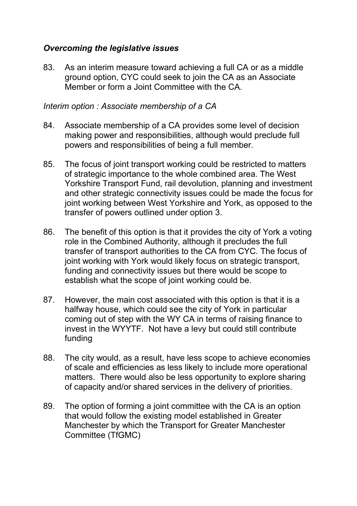### *Overcoming the legislative issues*

83. As an interim measure toward achieving a full CA or as a middle ground option, CYC could seek to join the CA as an Associate Member or form a Joint Committee with the CA.

#### *Interim option : Associate membership of a CA*

- 84. Associate membership of a CA provides some level of decision making power and responsibilities, although would preclude full powers and responsibilities of being a full member.
- 85. The focus of joint transport working could be restricted to matters of strategic importance to the whole combined area. The West Yorkshire Transport Fund, rail devolution, planning and investment and other strategic connectivity issues could be made the focus for joint working between West Yorkshire and York, as opposed to the transfer of powers outlined under option 3.
- 86. The benefit of this option is that it provides the city of York a voting role in the Combined Authority, although it precludes the full transfer of transport authorities to the CA from CYC. The focus of joint working with York would likely focus on strategic transport, funding and connectivity issues but there would be scope to establish what the scope of joint working could be.
- 87. However, the main cost associated with this option is that it is a halfway house, which could see the city of York in particular coming out of step with the WY CA in terms of raising finance to invest in the WYYTF. Not have a levy but could still contribute funding
- 88. The city would, as a result, have less scope to achieve economies of scale and efficiencies as less likely to include more operational matters. There would also be less opportunity to explore sharing of capacity and/or shared services in the delivery of priorities.
- 89. The option of forming a joint committee with the CA is an option that would follow the existing model established in Greater Manchester by which the Transport for Greater Manchester Committee (TfGMC)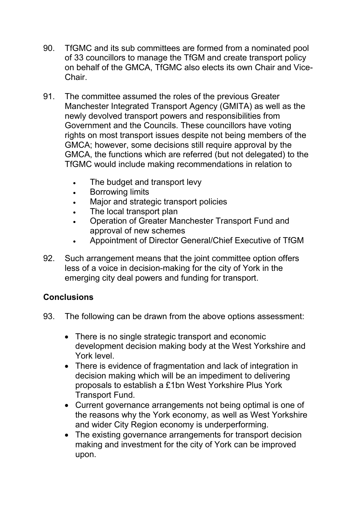- 90. TfGMC and its sub committees are formed from a nominated pool of 33 councillors to manage the TfGM and create transport policy on behalf of the GMCA, TfGMC also elects its own Chair and Vice-**Chair**
- 91. The committee assumed the roles of the previous Greater Manchester Integrated Transport Agency (GMITA) as well as the newly devolved transport powers and responsibilities from Government and the Councils. These councillors have voting rights on most transport issues despite not being members of the GMCA; however, some decisions still require approval by the GMCA, the functions which are referred (but not delegated) to the TfGMC would include making recommendations in relation to
	- The budget and transport levy
	- Borrowing limits
	- Major and strategic transport policies
	- The local transport plan
	- Operation of Greater Manchester Transport Fund and approval of new schemes
	- Appointment of Director General/Chief Executive of TfGM
- 92. Such arrangement means that the joint committee option offers less of a voice in decision-making for the city of York in the emerging city deal powers and funding for transport.

# **Conclusions**

- 93. The following can be drawn from the above options assessment:
	- There is no single strategic transport and economic development decision making body at the West Yorkshire and York level.
	- There is evidence of fragmentation and lack of integration in decision making which will be an impediment to delivering proposals to establish a £1bn West Yorkshire Plus York Transport Fund.
	- Current governance arrangements not being optimal is one of the reasons why the York economy, as well as West Yorkshire and wider City Region economy is underperforming.
	- The existing governance arrangements for transport decision making and investment for the city of York can be improved upon.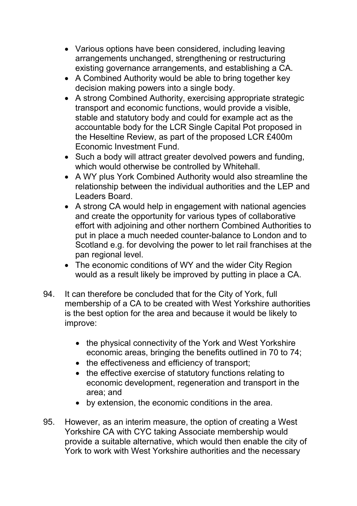- Various options have been considered, including leaving arrangements unchanged, strengthening or restructuring existing governance arrangements, and establishing a CA.
- A Combined Authority would be able to bring together key decision making powers into a single body.
- A strong Combined Authority, exercising appropriate strategic transport and economic functions, would provide a visible, stable and statutory body and could for example act as the accountable body for the LCR Single Capital Pot proposed in the Heseltine Review, as part of the proposed LCR £400m Economic Investment Fund.
- Such a body will attract greater devolved powers and funding, which would otherwise be controlled by Whitehall.
- A WY plus York Combined Authority would also streamline the relationship between the individual authorities and the LEP and Leaders Board.
- A strong CA would help in engagement with national agencies and create the opportunity for various types of collaborative effort with adjoining and other northern Combined Authorities to put in place a much needed counter-balance to London and to Scotland e.g. for devolving the power to let rail franchises at the pan regional level.
- The economic conditions of WY and the wider City Region would as a result likely be improved by putting in place a CA.
- 94. It can therefore be concluded that for the City of York, full membership of a CA to be created with West Yorkshire authorities is the best option for the area and because it would be likely to improve:
	- the physical connectivity of the York and West Yorkshire economic areas, bringing the benefits outlined in 70 to 74;
	- the effectiveness and efficiency of transport;
	- the effective exercise of statutory functions relating to economic development, regeneration and transport in the area; and
	- by extension, the economic conditions in the area.
- 95. However, as an interim measure, the option of creating a West Yorkshire CA with CYC taking Associate membership would provide a suitable alternative, which would then enable the city of York to work with West Yorkshire authorities and the necessary